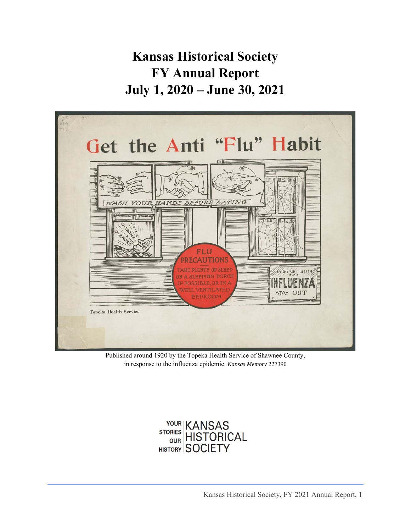# **Kansas Historical Society FY Annual Report July 1, 2020 – June 30, 2021**



Published around 1920 by the Topeka Health Service of Shawnee County, in response to the influenza epidemic. *Kansas Memory* 227390

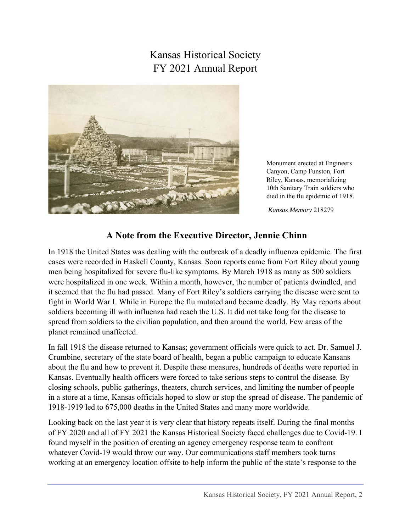## Kansas Historical Society FY 2021 Annual Report



Monument erected at Engineers Canyon, Camp Funston, Fort Riley, Kansas, memorializing 10th Sanitary Train soldiers who died in the flu epidemic of 1918.

*Kansas Memory* 218279

#### **A Note from the Executive Director, Jennie Chinn**

In 1918 the United States was dealing with the outbreak of a deadly influenza epidemic. The first cases were recorded in Haskell County, Kansas. Soon reports came from Fort Riley about young men being hospitalized for severe flu-like symptoms. By March 1918 as many as 500 soldiers were hospitalized in one week. Within a month, however, the number of patients dwindled, and it seemed that the flu had passed. Many of Fort Riley's soldiers carrying the disease were sent to fight in World War I. While in Europe the flu mutated and became deadly. By May reports about soldiers becoming ill with influenza had reach the U.S. It did not take long for the disease to spread from soldiers to the civilian population, and then around the world. Few areas of the planet remained unaffected.

In fall 1918 the disease returned to Kansas; government officials were quick to act. Dr. Samuel J. Crumbine, secretary of the state board of health, began a public campaign to educate Kansans about the flu and how to prevent it. Despite these measures, hundreds of deaths were reported in Kansas. Eventually health officers were forced to take serious steps to control the disease. By closing schools, public gatherings, theaters, church services, and limiting the number of people in a store at a time, Kansas officials hoped to slow or stop the spread of disease. The pandemic of 1918-1919 led to 675,000 deaths in the United States and many more worldwide.

Looking back on the last year it is very clear that history repeats itself. During the final months of FY 2020 and all of FY 2021 the Kansas Historical Society faced challenges due to Covid-19. I found myself in the position of creating an agency emergency response team to confront whatever Covid-19 would throw our way. Our communications staff members took turns working at an emergency location offsite to help inform the public of the state's response to the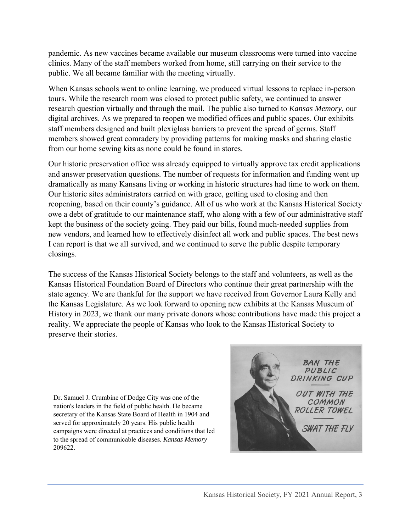pandemic. As new vaccines became available our museum classrooms were turned into vaccine clinics. Many of the staff members worked from home, still carrying on their service to the public. We all became familiar with the meeting virtually.

When Kansas schools went to online learning, we produced virtual lessons to replace in-person tours. While the research room was closed to protect public safety, we continued to answer research question virtually and through the mail. The public also turned to *Kansas Memory*, our digital archives. As we prepared to reopen we modified offices and public spaces. Our exhibits staff members designed and built plexiglass barriers to prevent the spread of germs. Staff members showed great comradery by providing patterns for making masks and sharing elastic from our home sewing kits as none could be found in stores.

Our historic preservation office was already equipped to virtually approve tax credit applications and answer preservation questions. The number of requests for information and funding went up dramatically as many Kansans living or working in historic structures had time to work on them. Our historic sites administrators carried on with grace, getting used to closing and then reopening, based on their county's guidance. All of us who work at the Kansas Historical Society owe a debt of gratitude to our maintenance staff, who along with a few of our administrative staff kept the business of the society going. They paid our bills, found much-needed supplies from new vendors, and learned how to effectively disinfect all work and public spaces. The best news I can report is that we all survived, and we continued to serve the public despite temporary closings.

The success of the Kansas Historical Society belongs to the staff and volunteers, as well as the Kansas Historical Foundation Board of Directors who continue their great partnership with the state agency. We are thankful for the support we have received from Governor Laura Kelly and the Kansas Legislature. As we look forward to opening new exhibits at the Kansas Museum of History in 2023, we thank our many private donors whose contributions have made this project a reality. We appreciate the people of Kansas who look to the Kansas Historical Society to preserve their stories.

Dr. Samuel J. Crumbine of Dodge City was one of the nation's leaders in the field of public health. He became secretary of the Kansas State Board of Health in 1904 and served for approximately 20 years. His public health campaigns were directed at practices and conditions that led to the spread of communicable diseases. *Kansas Memory* 209622.

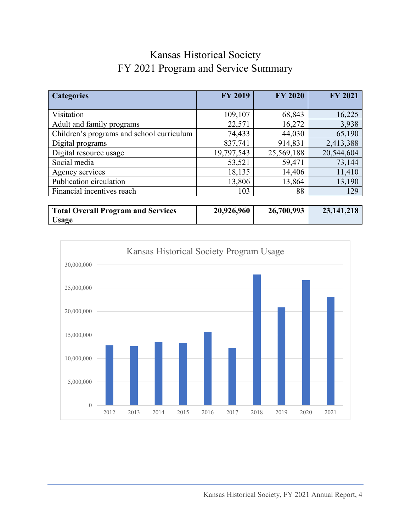## Kansas Historical Society FY 2021 Program and Service Summary

| <b>Categories</b>                         | <b>FY 2019</b> | <b>FY 2020</b> | <b>FY 2021</b> |
|-------------------------------------------|----------------|----------------|----------------|
|                                           |                |                |                |
| Visitation                                | 109,107        | 68,843         | 16,225         |
| Adult and family programs                 | 22,571         | 16,272         | 3,938          |
| Children's programs and school curriculum | 74,433         | 44,030         | 65,190         |
| Digital programs                          | 837,741        | 914,831        | 2,413,388      |
| Digital resource usage                    | 19,797,543     | 25,569,188     | 20,544,604     |
| Social media                              | 53,521         | 59,471         | 73,144         |
| Agency services                           | 18,135         | 14,406         | 11,410         |
| Publication circulation                   | 13,806         | 13,864         | 13,190         |
| Financial incentives reach                | 103            | 88             | 129            |
|                                           |                |                |                |

| <b>Total Overall Program and Services</b> | 20,926,960 | 26,700,993 | 23, 141, 218 |
|-------------------------------------------|------------|------------|--------------|
| <b>Usage</b>                              |            |            |              |

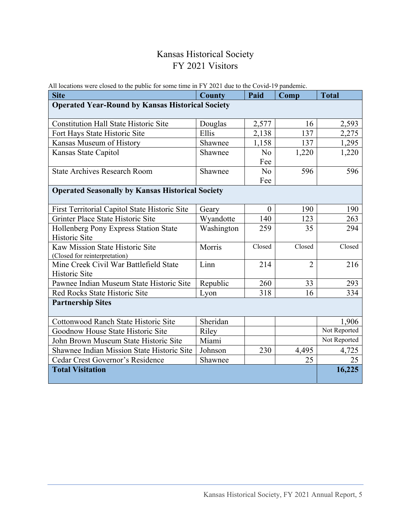#### Kansas Historical Society FY 2021 Visitors

| All locations were closed to the public for some thire in $\Gamma$ i 2021 due to the Covid-19 pandemic.<br><b>Site</b> | <b>County</b> | Paid           | Comp           | <b>Total</b>          |  |
|------------------------------------------------------------------------------------------------------------------------|---------------|----------------|----------------|-----------------------|--|
| <b>Operated Year-Round by Kansas Historical Society</b>                                                                |               |                |                |                       |  |
|                                                                                                                        |               |                |                |                       |  |
| <b>Constitution Hall State Historic Site</b>                                                                           | Douglas       | 2,577          | 16             | 2,593                 |  |
| Fort Hays State Historic Site                                                                                          | Ellis         | 2,138          | 137            | 2,275                 |  |
| Kansas Museum of History                                                                                               | Shawnee       | 1,158          | 137            | 1,295                 |  |
| Kansas State Capitol                                                                                                   | Shawnee       | N <sub>o</sub> | 1,220          | 1,220                 |  |
|                                                                                                                        |               | Fee            |                |                       |  |
| <b>State Archives Research Room</b>                                                                                    | Shawnee       | N <sub>o</sub> | 596            | 596                   |  |
|                                                                                                                        |               | Fee            |                |                       |  |
| <b>Operated Seasonally by Kansas Historical Society</b>                                                                |               |                |                |                       |  |
|                                                                                                                        |               |                |                |                       |  |
| First Territorial Capitol State Historic Site                                                                          | Geary         | $\theta$       | 190            | 190                   |  |
| Grinter Place State Historic Site                                                                                      | Wyandotte     | 140            | 123            | 263                   |  |
| Hollenberg Pony Express Station State                                                                                  | Washington    | 259            | 35             | 294                   |  |
| <b>Historic Site</b>                                                                                                   |               |                |                |                       |  |
| Kaw Mission State Historic Site                                                                                        | Morris        | Closed         | Closed         | Closed                |  |
| (Closed for reinterpretation)                                                                                          |               |                |                |                       |  |
| Mine Creek Civil War Battlefield State                                                                                 | Linn          | 214            | $\overline{2}$ | 216                   |  |
| Historic Site                                                                                                          |               |                |                |                       |  |
| Pawnee Indian Museum State Historic Site                                                                               | Republic      | 260            | 33             | 293                   |  |
| Red Rocks State Historic Site                                                                                          | Lyon          | 318            | 16             | 334                   |  |
| <b>Partnership Sites</b>                                                                                               |               |                |                |                       |  |
|                                                                                                                        |               |                |                |                       |  |
| Cottonwood Ranch State Historic Site                                                                                   | Sheridan      |                |                | 1,906<br>Not Reported |  |
| Goodnow House State Historic Site                                                                                      | Riley         |                |                |                       |  |
| John Brown Museum State Historic Site                                                                                  | Miami         |                |                | Not Reported          |  |
| Shawnee Indian Mission State Historic Site                                                                             | Johnson       | 230            | 4,495          | 4,725                 |  |
| Cedar Crest Governor's Residence                                                                                       | Shawnee       |                | 25             | 25                    |  |
| <b>Total Visitation</b>                                                                                                |               |                |                | 16,225                |  |

All locations were closed to the public for some time in FY 2021 due to the Covid-19 pandemic.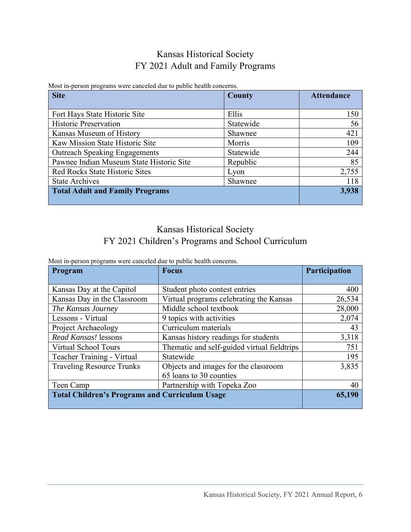#### Kansas Historical Society FY 2021 Adult and Family Programs

| <b>Site</b>                              | <b>County</b> | <b>Attendance</b> |
|------------------------------------------|---------------|-------------------|
| Fort Hays State Historic Site            | Ellis         | 150               |
| <b>Historic Preservation</b>             | Statewide     | 56                |
| Kansas Museum of History                 | Shawnee       | 421               |
| Kaw Mission State Historic Site          | Morris        | 109               |
| <b>Outreach Speaking Engagements</b>     | Statewide     | 244               |
| Pawnee Indian Museum State Historic Site | Republic      | 85                |
| Red Rocks State Historic Sites           | Lyon          | 2,755             |
| <b>State Archives</b>                    | Shawnee       | 118               |
| <b>Total Adult and Family Programs</b>   | 3,938         |                   |

Most in-person programs were canceled due to public health concerns.

#### Kansas Historical Society FY 2021 Children's Programs and School Curriculum

| Program                                               | <b>Focus</b>                                | Participation |
|-------------------------------------------------------|---------------------------------------------|---------------|
|                                                       |                                             |               |
| Kansas Day at the Capitol                             | Student photo contest entries               | 400           |
| Kansas Day in the Classroom                           | Virtual programs celebrating the Kansas     | 26,534        |
| The Kansas Journey                                    | Middle school textbook                      | 28,000        |
| Lessons - Virtual                                     | 9 topics with activities                    | 2,074         |
| Project Archaeology                                   | Curriculum materials                        | 43            |
| Read Kansas! lessons                                  | Kansas history readings for students        | 3,318         |
| <b>Virtual School Tours</b>                           | Thematic and self-guided virtual fieldtrips | 751           |
| Teacher Training - Virtual                            | Statewide                                   | 195           |
| <b>Traveling Resource Trunks</b>                      | Objects and images for the classroom        | 3,835         |
|                                                       | 65 loans to 30 counties                     |               |
| Teen Camp                                             | Partnership with Topeka Zoo                 | 40            |
| <b>Total Children's Programs and Curriculum Usage</b> |                                             | 65,190        |

Most in-person programs were canceled due to public health concerns.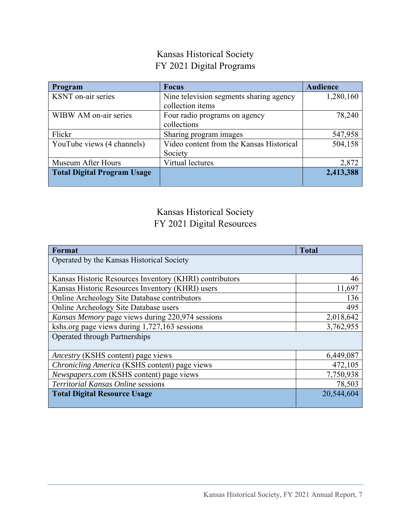#### Kansas Historical Society FY 2021 Digital Programs

| Program                            | <b>Focus</b>                             | <b>Audience</b> |
|------------------------------------|------------------------------------------|-----------------|
| KSNT on-air series                 | Nine television segments sharing agency  | 1,280,160       |
|                                    | collection items                         |                 |
| WIBW AM on-air series              | Four radio programs on agency            | 78,240          |
|                                    | collections                              |                 |
| Flickr                             | Sharing program images                   | 547,958         |
| YouTube views (4 channels)         | Video content from the Kansas Historical | 504,158         |
|                                    | Society                                  |                 |
| Museum After Hours                 | Virtual lectures                         | 2,872           |
| <b>Total Digital Program Usage</b> |                                          | 2,413,388       |
|                                    |                                          |                 |

#### Kansas Historical Society FY 2021 Digital Resources

| Format                                                  | <b>Total</b> |
|---------------------------------------------------------|--------------|
| Operated by the Kansas Historical Society               |              |
|                                                         |              |
| Kansas Historic Resources Inventory (KHRI) contributors | 46           |
| Kansas Historic Resources Inventory (KHRI) users        | 11,697       |
| Online Archeology Site Database contributors            | 136          |
| Online Archeology Site Database users                   | 495          |
| Kansas Memory page views during 220,974 sessions        | 2,018,642    |
| kshs.org page views during 1,727,163 sessions           | 3,762,955    |
| <b>Operated through Partnerships</b>                    |              |
|                                                         |              |
| Ancestry (KSHS content) page views                      | 6,449,087    |
| <i>Chronicling America</i> (KSHS content) page views    | 472,105      |
| Newspapers.com (KSHS content) page views                | 7,750,938    |
| <b>Territorial Kansas Online sessions</b>               | 78,503       |
| <b>Total Digital Resource Usage</b>                     | 20,544,604   |
|                                                         |              |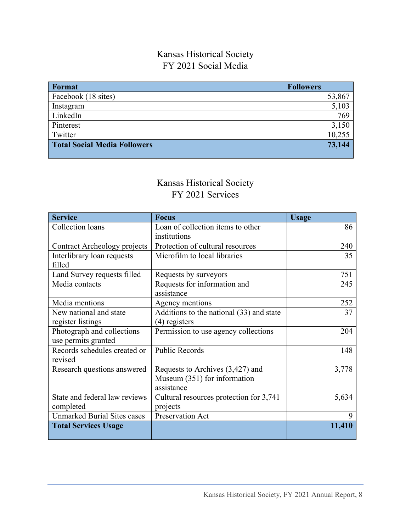#### Kansas Historical Society FY 2021 Social Media

| Format                              | <b>Followers</b> |
|-------------------------------------|------------------|
| Facebook (18 sites)                 | 53,867           |
| Instagram                           | 5,103            |
| LinkedIn                            | 769              |
| Pinterest                           | 3,150            |
| Twitter                             | 10,255           |
| <b>Total Social Media Followers</b> | 73,144           |

#### Kansas Historical Society FY 2021 Services

| <b>Service</b>                     | <b>Focus</b>                             | <b>Usage</b> |
|------------------------------------|------------------------------------------|--------------|
| Collection loans                   | Loan of collection items to other        | 86           |
|                                    | institutions                             |              |
| Contract Archeology projects       | Protection of cultural resources         | 240          |
| Interlibrary loan requests         | Microfilm to local libraries             | 35           |
| filled                             |                                          |              |
| Land Survey requests filled        | Requests by surveyors                    | 751          |
| Media contacts                     | Requests for information and             | 245          |
|                                    | assistance                               |              |
| Media mentions                     | Agency mentions                          | 252          |
| New national and state             | Additions to the national (33) and state | 37           |
| register listings                  | (4) registers                            |              |
| Photograph and collections         | Permission to use agency collections     | 204          |
| use permits granted                |                                          |              |
| Records schedules created or       | <b>Public Records</b>                    | 148          |
| revised                            |                                          |              |
| Research questions answered        | Requests to Archives (3,427) and         | 3,778        |
|                                    | Museum (351) for information             |              |
|                                    | assistance                               |              |
| State and federal law reviews      | Cultural resources protection for 3,741  | 5,634        |
| completed                          | projects                                 |              |
| <b>Unmarked Burial Sites cases</b> | Preservation Act                         | 9            |
| <b>Total Services Usage</b>        |                                          | 11,410       |
|                                    |                                          |              |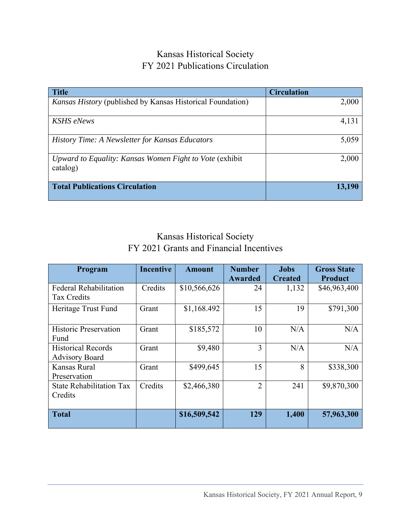#### Kansas Historical Society FY 2021 Publications Circulation

| <b>Title</b>                                                      | <b>Circulation</b> |
|-------------------------------------------------------------------|--------------------|
| <i>Kansas History</i> (published by Kansas Historical Foundation) | 2,000              |
|                                                                   |                    |
| <b>KSHS</b> eNews                                                 | 4,131              |
|                                                                   |                    |
| History Time: A Newsletter for Kansas Educators                   | 5,059              |
|                                                                   |                    |
| Upward to Equality: Kansas Women Fight to Vote (exhibit)          | 2,000              |
| catalog)                                                          |                    |
|                                                                   |                    |
| <b>Total Publications Circulation</b>                             | 13,190             |
|                                                                   |                    |

### Kansas Historical Society FY 2021 Grants and Financial Incentives

| Program                                            | <b>Incentive</b> | <b>Amount</b> | <b>Number</b>  | Jobs           | <b>Gross State</b> |
|----------------------------------------------------|------------------|---------------|----------------|----------------|--------------------|
|                                                    |                  |               | Awarded        | <b>Created</b> | <b>Product</b>     |
| <b>Federal Rehabilitation</b><br>Tax Credits       | Credits          | \$10,566,626  | 24             | 1,132          | \$46,963,400       |
| Heritage Trust Fund                                | Grant            | \$1,168.492   | 15             | 19             | \$791,300          |
| <b>Historic Preservation</b><br>Fund               | Grant            | \$185,572     | 10             | N/A            | N/A                |
| <b>Historical Records</b><br><b>Advisory Board</b> | Grant            | \$9,480       | 3              | N/A            | N/A                |
| Kansas Rural<br>Preservation                       | Grant            | \$499,645     | 15             | 8              | \$338,300          |
| <b>State Rehabilitation Tax</b><br>Credits         | Credits          | \$2,466,380   | $\overline{2}$ | 241            | \$9,870,300        |
| <b>Total</b>                                       |                  | \$16,509,542  | 129            | 1,400          | 57,963,300         |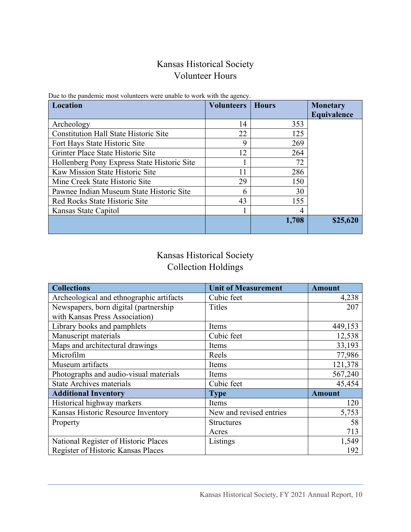#### Kansas Historical Society Volunteer Hours

| Location                                     | <b>Volunteers</b> | <b>Hours</b> | <b>Monetary</b><br>Equivalence |
|----------------------------------------------|-------------------|--------------|--------------------------------|
| Archeology                                   | 14                | 353          |                                |
| <b>Constitution Hall State Historic Site</b> | 22                | 125          |                                |
| Fort Hays State Historic Site                | 9                 | 269          |                                |
| Grinter Place State Historic Site            | 12                | 264          |                                |
| Hollenberg Pony Express State Historic Site  |                   | 72           |                                |
| Kaw Mission State Historic Site              | 11                | 286          |                                |
| Mine Creek State Historic Site               | 29                | 150          |                                |
| Pawnee Indian Museum State Historic Site     | h                 | 30           |                                |
| Red Rocks State Historic Site                | 43                | 155          |                                |
| Kansas State Capitol                         |                   | 4            |                                |
|                                              |                   | 1,708        | \$25,620                       |

Due to the pandemic most volunteers were unable to work with the agency.

#### Kansas Historical Society Collection Holdings

| <b>Collections</b>                       | <b>Unit of Measurement</b> | <b>Amount</b> |
|------------------------------------------|----------------------------|---------------|
| Archeological and ethnographic artifacts | Cubic feet                 | 4,238         |
| Newspapers, born digital (partnership    | <b>Titles</b>              | 207           |
| with Kansas Press Association)           |                            |               |
| Library books and pamphlets              | Items                      | 449,153       |
| Manuscript materials                     | Cubic feet                 | 12,538        |
| Maps and architectural drawings          | Items                      | 33,193        |
| Microfilm                                | Reels                      | 77,986        |
| Museum artifacts                         | Items                      | 121,378       |
| Photographs and audio-visual materials   | Items                      | 567,240       |
| <b>State Archives materials</b>          | Cubic feet                 | 45,454        |
| <b>Additional Inventory</b>              | <b>Type</b>                | <b>Amount</b> |
| Historical highway markers               | Items                      | 120           |
| Kansas Historic Resource Inventory       | New and revised entries    | 5,753         |
| Property                                 | <b>Structures</b>          | 58            |
|                                          | Acres                      | 713           |
| National Register of Historic Places     | Listings                   | 1,549         |
| Register of Historic Kansas Places       |                            | 192           |